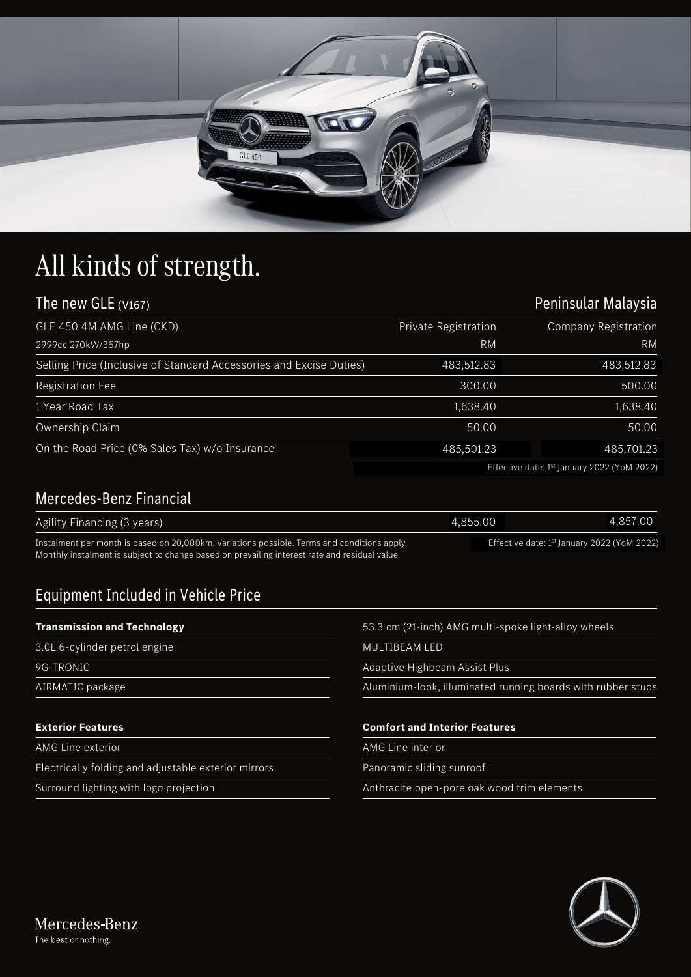

# All kinds of strength.

| The new GLE (V167)                                                  | Peninsular Malaysia  |                                                                                                                                   |
|---------------------------------------------------------------------|----------------------|-----------------------------------------------------------------------------------------------------------------------------------|
| GLE 450 4M AMG Line (CKD)                                           | Private Registration | <b>Company Registration</b>                                                                                                       |
| 2999cc 270kW/367hp                                                  | RM                   | <b>RM</b>                                                                                                                         |
| Selling Price (Inclusive of Standard Accessories and Excise Duties) | 483,512.83           | 483,512.83                                                                                                                        |
| <b>Registration Fee</b>                                             | 300.00               | 500.00                                                                                                                            |
| 1 Year Road Tax                                                     | 1,638.40             | 1,638.40                                                                                                                          |
| Ownership Claim                                                     | 50.00                | 50.00                                                                                                                             |
| On the Road Price (0% Sales Tax) w/o Insurance                      | 485,501.23           | 485,701.23                                                                                                                        |
|                                                                     |                      | $T_{11}$ , $T_{22}$ , $T_{31}$ , $T_{42}$ , $T_{51}$ , $T_{52}$ , $T_{53}$ , $T_{54}$ , $T_{64}$ , $T_{74}$ , $T_{84}$ , $T_{10}$ |

### Mercedes-Benz Financial

|                                                                                                                                                                                              | Effective date: 1 <sup>st</sup> January 2022 (YoM 2022) |          |
|----------------------------------------------------------------------------------------------------------------------------------------------------------------------------------------------|---------------------------------------------------------|----------|
| Mercedes-Benz Financial                                                                                                                                                                      |                                                         |          |
| Agility Financing (3 years)                                                                                                                                                                  | 4.855.00                                                | 4,857.00 |
| Instalment per month is based on 20,000km. Variations possible. Terms and conditions apply.<br>Monthly instalment is subject to change based on prevailing interest rate and residual value. | Effective date: 1 <sup>st</sup> January 2022 (YoM 2022) |          |

## Equipment Included in Vehicle Price

#### **Transmission and Technology**

- 3.0L 6-cylinder petrol engine 9G-TRONIC
- 
- AIRMATIC package

#### **Exterior Features**

AMG Line exterior

Electrically folding and adjustable exterior mirrors

Surround lighting with logo projection

53.3 cm (21-inch) AMG multi-spoke light-alloy wheels

MULTIBEAM LED

Adaptive Highbeam Assist Plus

Aluminium-look, illuminated running boards with rubber studs

#### **Comfort and Interior Features**

AMG Line interior

Panoramic sliding sunroof

Anthracite open-pore oak wood trim elements